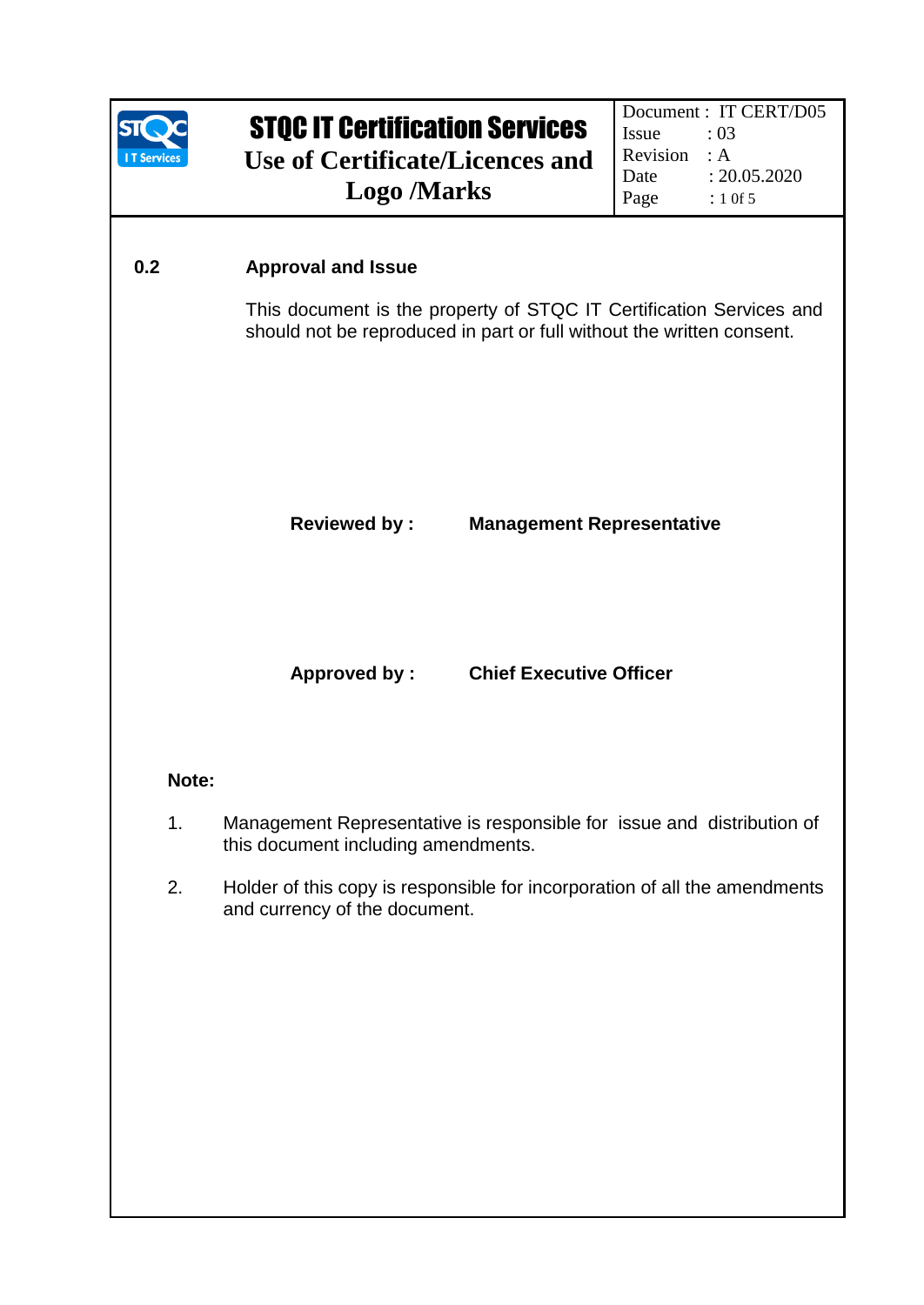

# STQC IT Certification Services **Use of Certificate/Licences and Logo /Marks**

# **0.2 Approval and Issue**

This document is the property of STQC IT Certification Services and should not be reproduced in part or full without the written consent.

# **Reviewed by : Management Representative**

## **Approved by : Chief Executive Officer**

## **Note:**

- 1. Management Representative is responsible for issue and distribution of this document including amendments.
- 2. Holder of this copy is responsible for incorporation of all the amendments and currency of the document.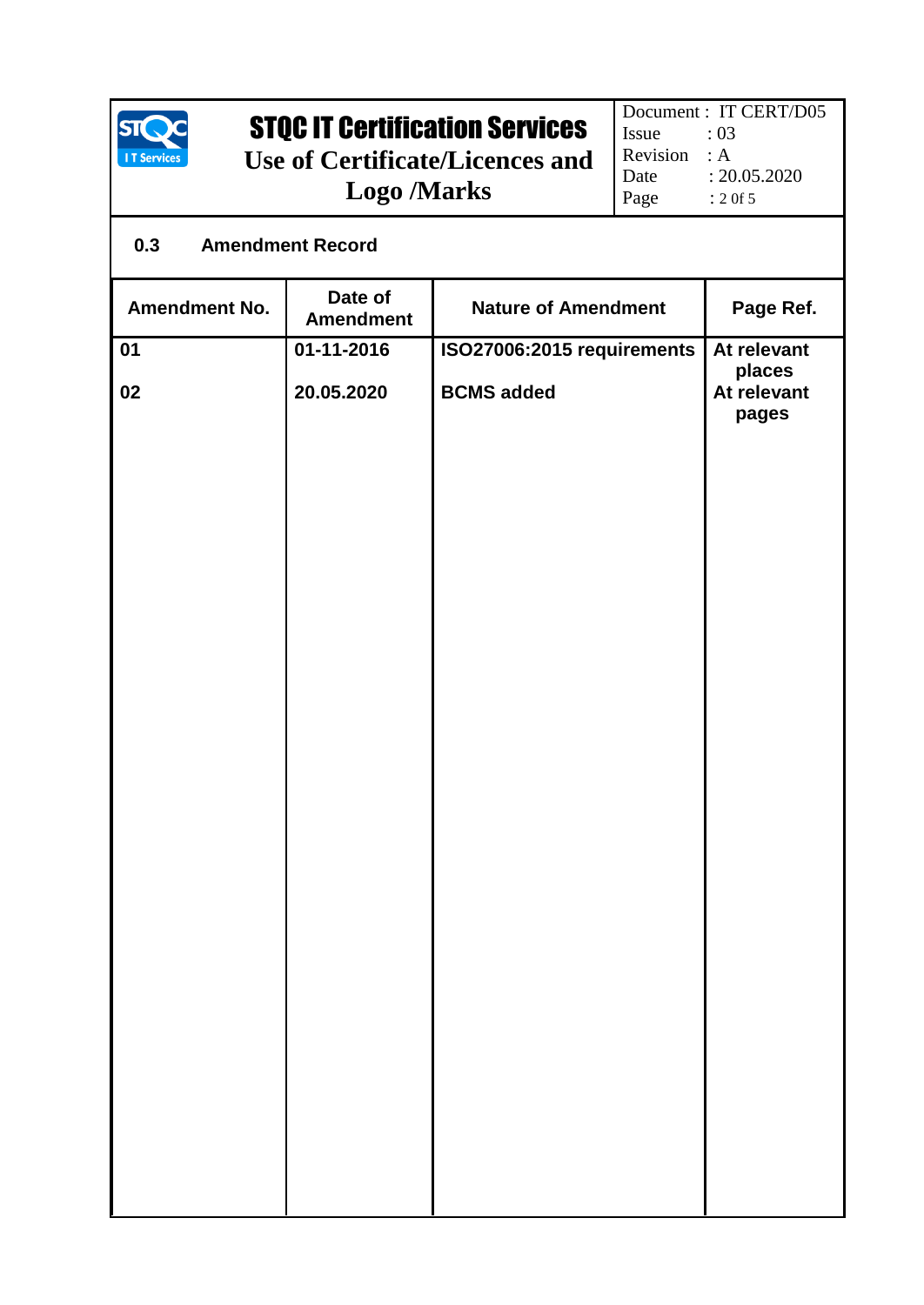

# STQC IT Certification Services

**Use of Certificate/Licences and Logo /Marks** 

Document : IT CERT/D05<br>Issue : 03 Issue Revision : A Date : 20.05.2020<br>Page : 2 of 5  $: 2 0f 5$ 

# **0.3 Amendment Record**

| <b>Amendment No.</b> | Date of<br><b>Amendment</b> | <b>Nature of Amendment</b> | Page Ref.                      |
|----------------------|-----------------------------|----------------------------|--------------------------------|
| 01                   | 01-11-2016                  | ISO27006:2015 requirements | At relevant                    |
| 02                   | 20.05.2020                  | <b>BCMS</b> added          | places<br>At relevant<br>pages |
|                      |                             |                            |                                |
|                      |                             |                            |                                |
|                      |                             |                            |                                |
|                      |                             |                            |                                |
|                      |                             |                            |                                |
|                      |                             |                            |                                |
|                      |                             |                            |                                |
|                      |                             |                            |                                |
|                      |                             |                            |                                |
|                      |                             |                            |                                |
|                      |                             |                            |                                |
|                      |                             |                            |                                |
|                      |                             |                            |                                |
|                      |                             |                            |                                |
|                      |                             |                            |                                |
|                      |                             |                            |                                |
|                      |                             |                            |                                |
|                      |                             |                            |                                |
|                      |                             |                            |                                |
|                      |                             |                            |                                |
|                      |                             |                            |                                |
|                      |                             |                            |                                |
|                      |                             |                            |                                |
|                      |                             |                            |                                |
|                      |                             |                            |                                |
|                      |                             |                            |                                |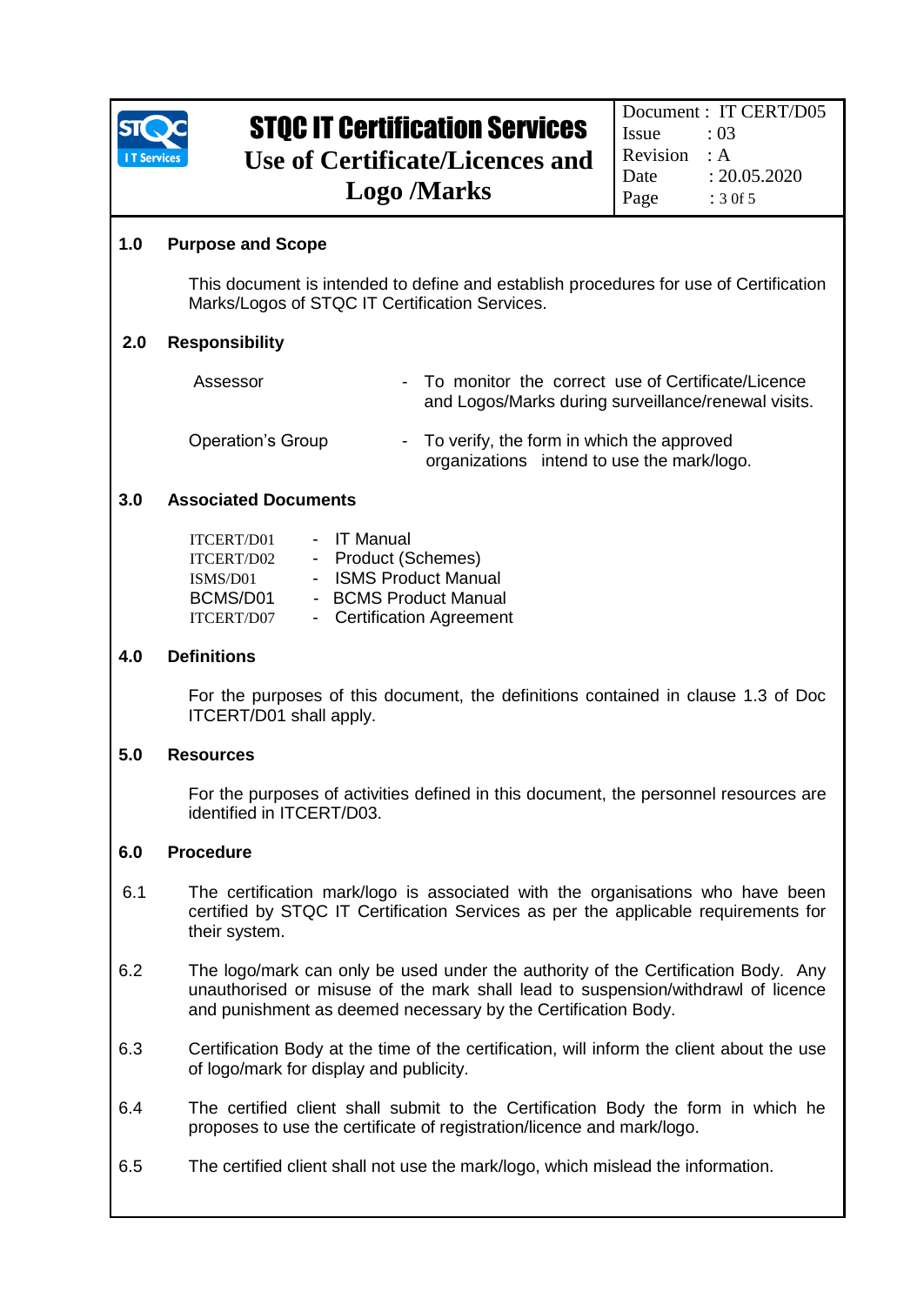

# STQC IT Certification Services

**Use of Certificate/Licences and Logo /Marks** 

#### **1.0 Purpose and Scope**

This document is intended to define and establish procedures for use of Certification Marks/Logos of STQC IT Certification Services.

#### **2.0 Responsibility**

| Assessor                 | - To monitor the correct use of Certificate/Licence<br>and Logos/Marks during surveillance/renewal visits. |
|--------------------------|------------------------------------------------------------------------------------------------------------|
| <b>Operation's Group</b> | - To verify, the form in which the approved<br>organizations intend to use the mark/logo.                  |

#### **3.0 Associated Documents**

| <b>ITCERT/D01</b> | <b>IT Manual</b>               |
|-------------------|--------------------------------|
| ITCERT/D02        | - Product (Schemes)            |
| ISMS/D01          | <b>ISMS Product Manual</b>     |
| BCMS/D01          | - BCMS Product Manual          |
| ITCERT/D07        | <b>Certification Agreement</b> |

#### **4.0 Definitions**

For the purposes of this document, the definitions contained in clause 1.3 of Doc ITCERT/D01 shall apply.

#### **5.0 Resources**

For the purposes of activities defined in this document, the personnel resources are identified in ITCERT/D03.

#### **6.0 Procedure**

- 6.1 The certification mark/logo is associated with the organisations who have been certified by STQC IT Certification Services as per the applicable requirements for their system.
- 6.2 The logo/mark can only be used under the authority of the Certification Body. Any unauthorised or misuse of the mark shall lead to suspension/withdrawl of licence and punishment as deemed necessary by the Certification Body.
- 6.3 Certification Body at the time of the certification, will inform the client about the use of logo/mark for display and publicity.
- 6.4 The certified client shall submit to the Certification Body the form in which he proposes to use the certificate of registration/licence and mark/logo.
- 6.5 The certified client shall not use the mark/logo, which mislead the information.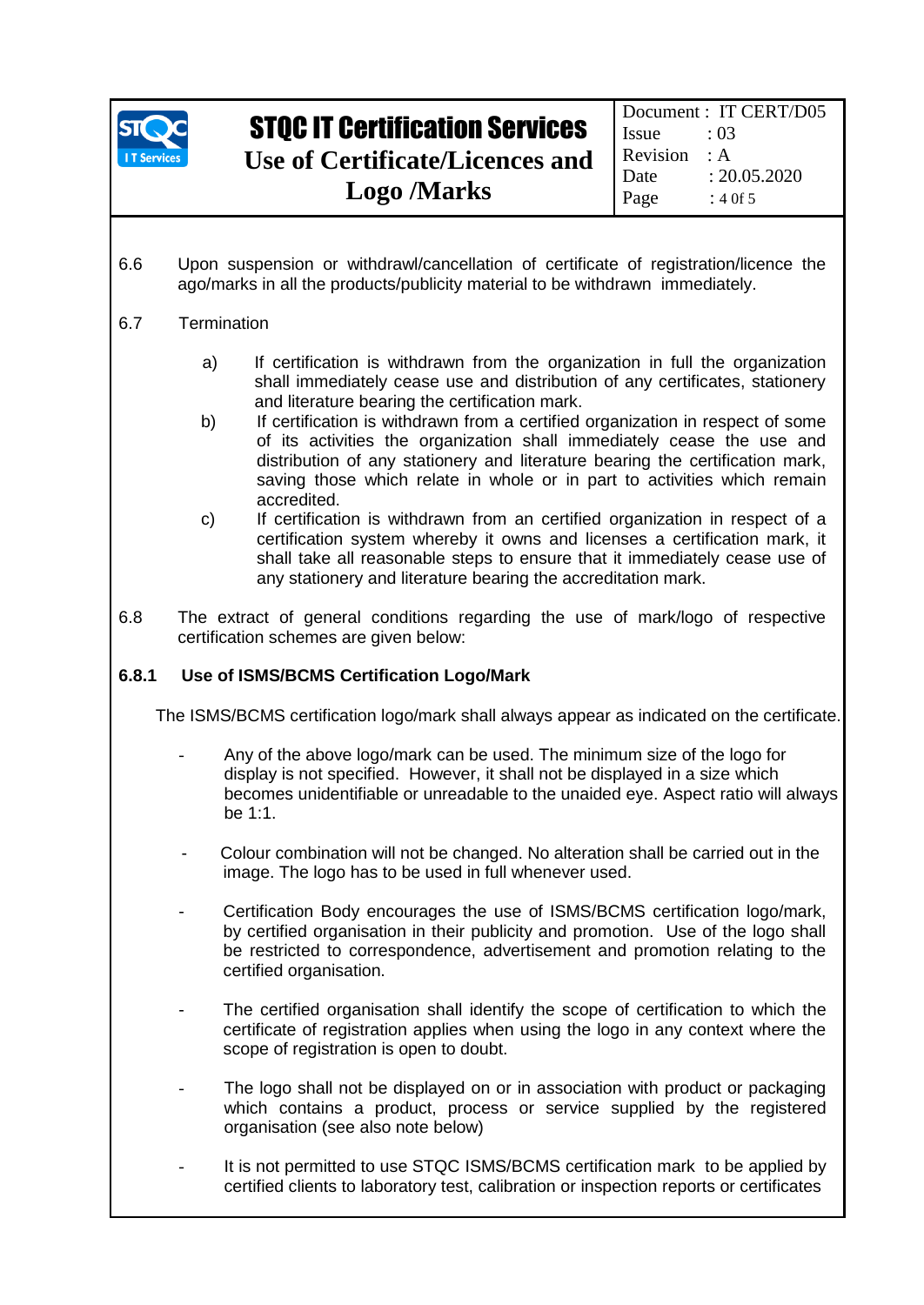

# STQC IT Certification Services **Use of Certificate/Licences and**

**Logo /Marks** 

Document : IT CERT/D05 Issue : 03 Revision : A Date : 20.05.2020 Page  $: 40f5$ 

6.6 Upon suspension or withdrawl/cancellation of certificate of registration/licence the ago/marks in all the products/publicity material to be withdrawn immediately.

### 6.7 Termination

- a) If certification is withdrawn from the organization in full the organization shall immediately cease use and distribution of any certificates, stationery and literature bearing the certification mark.
- b) If certification is withdrawn from a certified organization in respect of some of its activities the organization shall immediately cease the use and distribution of any stationery and literature bearing the certification mark, saving those which relate in whole or in part to activities which remain accredited.
- c) If certification is withdrawn from an certified organization in respect of a certification system whereby it owns and licenses a certification mark, it shall take all reasonable steps to ensure that it immediately cease use of any stationery and literature bearing the accreditation mark.
- 6.8 The extract of general conditions regarding the use of mark/logo of respective certification schemes are given below:

#### **6.8.1 Use of ISMS/BCMS Certification Logo/Mark**

The ISMS/BCMS certification logo/mark shall always appear as indicated on the certificate.

- Any of the above logo/mark can be used. The minimum size of the logo for display is not specified. However, it shall not be displayed in a size which becomes unidentifiable or unreadable to the unaided eye. Aspect ratio will always be 1:1.
- Colour combination will not be changed. No alteration shall be carried out in the image. The logo has to be used in full whenever used.
- Certification Body encourages the use of ISMS/BCMS certification logo/mark, by certified organisation in their publicity and promotion. Use of the logo shall be restricted to correspondence, advertisement and promotion relating to the certified organisation.
- The certified organisation shall identify the scope of certification to which the certificate of registration applies when using the logo in any context where the scope of registration is open to doubt.
- The logo shall not be displayed on or in association with product or packaging which contains a product, process or service supplied by the registered organisation (see also note below)
- It is not permitted to use STQC ISMS/BCMS certification mark to be applied by certified clients to laboratory test, calibration or inspection reports or certificates